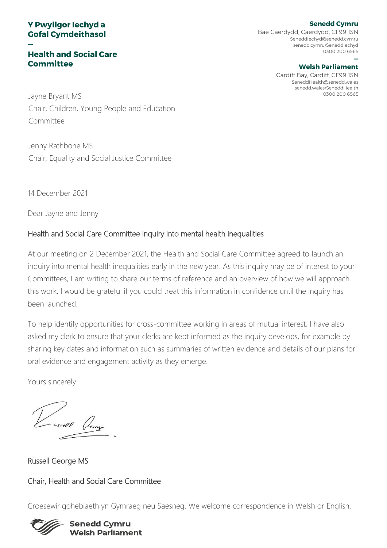# **Y Pwyllgor Iechyd a Gofal Cymdeithasol**

**—**

# **Health and Social Care Committee**

**Senedd Cymru** Bae Caerdydd, Caerdydd, CF99 1SN SeneddIechyd@senedd.cymru senedd.cymru/SeneddIechyd 0300 200 6565

#### **— Welsh Parliament**

Cardiff Bay, Cardiff, CF99 1SN SeneddHealth@senedd.wales senedd.wales/SeneddHealth

Jayne Bryant MS and the Second State of the Second State of the Second State of the Second State of the Second State of the Second State of the Second State of the Second State of the Second State of the Second State of th Chair, Children, Young People and Education Committee

Jenny Rathbone MS Chair, Equality and Social Justice Committee

14 December 2021

Dear Jayne and Jenny

# Health and Social Care Committee inquiry into mental health inequalities

At our meeting on 2 December 2021, the Health and Social Care Committee agreed to launch an inquiry into mental health inequalities early in the new year. As this inquiry may be of interest to your Committees, I am writing to share our terms of reference and an overview of how we will approach this work. I would be grateful if you could treat this information in confidence until the inquiry has been launched.

To help identify opportunities for cross-committee working in areas of mutual interest, I have also asked my clerk to ensure that your clerks are kept informed as the inquiry develops, for example by sharing key dates and information such as summaries of written evidence and details of our plans for oral evidence and engagement activity as they emerge.

Yours sincerely

Russell George MS

Chair, Health and Social Care Committee

Croesewir gohebiaeth yn Gymraeg neu Saesneg. We welcome correspondence in Welsh or English.



### **Senedd Cymru Welsh Parliament**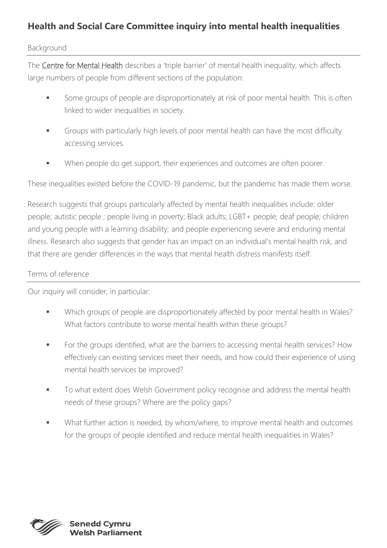# **Health and Social Care Committee inquiry into mental health inequalities**

## Background

The [Centre for Mental Health](https://www.centreformentalhealth.org.uk/publications/mental-health-inequalities-factsheet) describes a 'triple barrier' of mental health inequality, which affects large numbers of people from different sections of the population:

- Some groups of people are disproportionately at risk of poor mental health. This is often linked to wider inequalities in society.
- **■** Groups with particularly high levels of poor mental health can have the most difficulty accessing services.
- When people do get support, their experiences and outcomes are often poorer.

These inequalities existed before the COVID-19 pandemic, but the pandemic has made them worse.

Research suggests that groups particularly affected by mental health inequalities include: older people; autistic people ; people living in poverty; Black adults; LGBT+ people; deaf people; children and young people with a learning disability; and people experiencing severe and enduring mental illness. Research also suggests that gender has an impact on an individual's mental health risk, and that there are gender differences in the ways that mental health distress manifests itself.

# Terms of reference

Our inquiry will consider, in particular:

- Which groups of people are disproportionately affected by poor mental health in Wales? What factors contribute to worse mental health within these groups?
- **•** For the groups identified, what are the barriers to accessing mental health services? How effectively can existing services meet their needs, and how could their experience of using mental health services be improved?
- **■** To what extent does Welsh Government policy recognise and address the mental health needs of these groups? Where are the policy gaps?
- What further action is needed, by whom/where, to improve mental health and outcomes for the groups of people identified and reduce mental health inequalities in Wales?



elsh Parliament